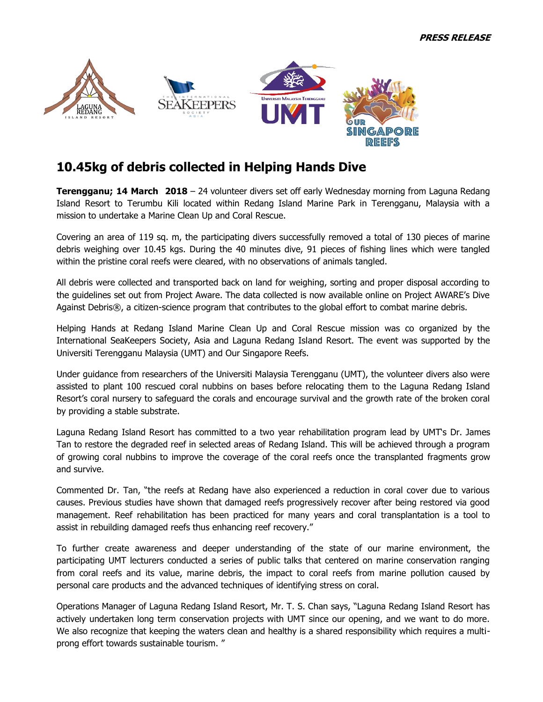

# **10.45kg of debris collected in Helping Hands Dive**

**Terengganu; 14 March 2018** – 24 volunteer divers set off early Wednesday morning from Laguna Redang Island Resort to Terumbu Kili located within Redang Island Marine Park in Terengganu, Malaysia with a mission to undertake a Marine Clean Up and Coral Rescue.

Covering an area of 119 sq. m, the participating divers successfully removed a total of 130 pieces of marine debris weighing over 10.45 kgs. During the 40 minutes dive, 91 pieces of fishing lines which were tangled within the pristine coral reefs were cleared, with no observations of animals tangled.

All debris were collected and transported back on land for weighing, sorting and proper disposal according to the guidelines set out from Project Aware. The data collected is now available online on Project AWARE's Dive Against Debris®, a citizen-science program that contributes to the global effort to combat marine debris.

Helping Hands at Redang Island Marine Clean Up and Coral Rescue mission was co organized by the International SeaKeepers Society, Asia and Laguna Redang Island Resort. The event was supported by the Universiti Terengganu Malaysia (UMT) and Our Singapore Reefs.

Under guidance from researchers of the Universiti Malaysia Terengganu (UMT), the volunteer divers also were assisted to plant 100 rescued coral nubbins on bases before relocating them to the Laguna Redang Island Resort's coral nursery to safeguard the corals and encourage survival and the growth rate of the broken coral by providing a stable substrate.

Laguna Redang Island Resort has committed to a two year rehabilitation program lead by UMT's Dr. James Tan to restore the degraded reef in selected areas of Redang Island. This will be achieved through a program of growing coral nubbins to improve the coverage of the coral reefs once the transplanted fragments grow and survive.

Commented Dr. Tan, "the reefs at Redang have also experienced a reduction in coral cover due to various causes. Previous studies have shown that damaged reefs progressively recover after being restored via good management. Reef rehabilitation has been practiced for many years and coral transplantation is a tool to assist in rebuilding damaged reefs thus enhancing reef recovery."

To further create awareness and deeper understanding of the state of our marine environment, the participating UMT lecturers conducted a series of public talks that centered on marine conservation ranging from coral reefs and its value, marine debris, the impact to coral reefs from marine pollution caused by personal care products and the advanced techniques of identifying stress on coral.

Operations Manager of Laguna Redang Island Resort, Mr. T. S. Chan says, "Laguna Redang Island Resort has actively undertaken long term conservation projects with UMT since our opening, and we want to do more. We also recognize that keeping the waters clean and healthy is a shared responsibility which requires a multiprong effort towards sustainable tourism. "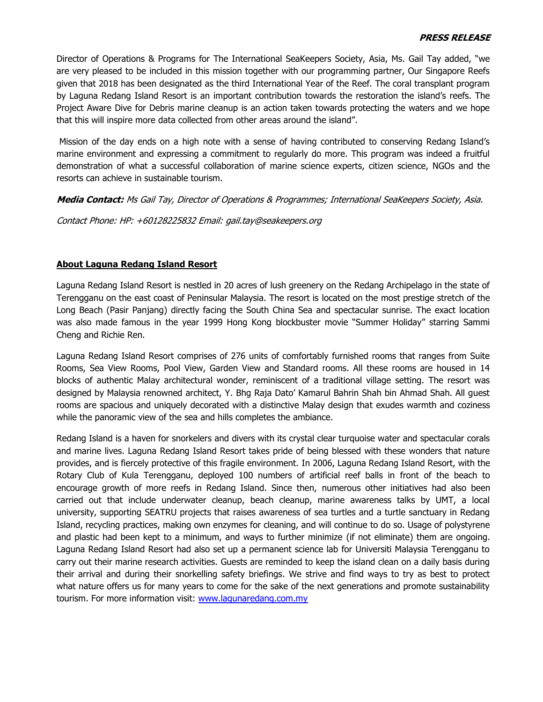Director of Operations & Programs for The International SeaKeepers Society, Asia, Ms. Gail Tay added, "we are very pleased to be included in this mission together with our programming partner, Our Singapore Reefs given that 2018 has been designated as the third International Year of the Reef. The coral transplant program by Laguna Redang Island Resort is an important contribution towards the restoration the island's reefs. The Project Aware Dive for Debris marine cleanup is an action taken towards protecting the waters and we hope that this will inspire more data collected from other areas around the island".

Mission of the day ends on a high note with a sense of having contributed to conserving Redang Island's marine environment and expressing a commitment to regularly do more. This program was indeed a fruitful demonstration of what a successful collaboration of marine science experts, citizen science, NGOs and the resorts can achieve in sustainable tourism.

**Media Contact:** Ms Gail Tay, Director of Operations & Programmes; International SeaKeepers Society, Asia.

Contact Phone: HP: +60128225832 Email: gail.tay@seakeepers.org

#### **About Laguna Redang Island Resort**

Laguna Redang Island Resort is nestled in 20 acres of lush greenery on the Redang Archipelago in the state of Terengganu on the east coast of Peninsular Malaysia. The resort is located on the most prestige stretch of the Long Beach (Pasir Panjang) directly facing the South China Sea and spectacular sunrise. The exact location was also made famous in the year 1999 Hong Kong blockbuster movie "Summer Holiday" starring Sammi Cheng and Richie Ren.

Laguna Redang Island Resort comprises of 276 units of comfortably furnished rooms that ranges from Suite Rooms, Sea View Rooms, Pool View, Garden View and Standard rooms. All these rooms are housed in 14 blocks of authentic Malay architectural wonder, reminiscent of a traditional village setting. The resort was designed by Malaysia renowned architect, Y. Bhg Raja Dato' Kamarul Bahrin Shah bin Ahmad Shah. All guest rooms are spacious and uniquely decorated with a distinctive Malay design that exudes warmth and coziness while the panoramic view of the sea and hills completes the ambiance.

Redang Island is a haven for snorkelers and divers with its crystal clear turquoise water and spectacular corals and marine lives. Laguna Redang Island Resort takes pride of being blessed with these wonders that nature provides, and is fiercely protective of this fragile environment. In 2006, Laguna Redang Island Resort, with the Rotary Club of Kula Terengganu, deployed 100 numbers of artificial reef balls in front of the beach to encourage growth of more reefs in Redang Island. Since then, numerous other initiatives had also been carried out that include underwater cleanup, beach cleanup, marine awareness talks by UMT, a local university, supporting SEATRU projects that raises awareness of sea turtles and a turtle sanctuary in Redang Island, recycling practices, making own enzymes for cleaning, and will continue to do so. Usage of polystyrene and plastic had been kept to a minimum, and ways to further minimize (if not eliminate) them are ongoing. Laguna Redang Island Resort had also set up a permanent science lab for Universiti Malaysia Terengganu to carry out their marine research activities. Guests are reminded to keep the island clean on a daily basis during their arrival and during their snorkelling safety briefings. We strive and find ways to try as best to protect what nature offers us for many years to come for the sake of the next generations and promote sustainability tourism. For more information visit: www.laqunaredang.com.my